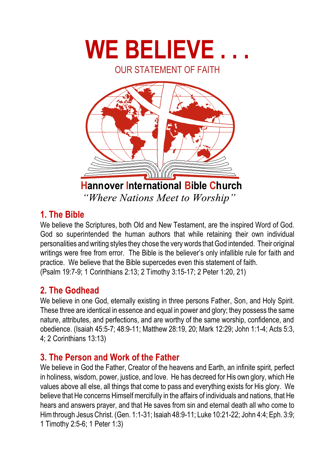

## 1 The Rible

We believe the Scriptures, both Old and New Testament, are the inspired Word of God. God so superintended the human authors that while retaining their own individual personalities and writing styles they chose the very words that God intended. Their original writings were free from error. The Bible is the believer's only infallible rule for faith and practice. We believe that the Bible supercedes even this statement of faith. (Psalm 19:7-9; 1 Corinthians 2:13; 2 Timothy 3:15-17; 2 Peter 1:20, 21)

## 2 The Godhead

We believe in one God, eternally existing in three persons Father. Son, and Holy Spirit. These three are identical in essence and equal in power and glory; they possess the same nature, attributes, and perfections, and are worthy of the same worship, confidence, and obedience. (Isaiah 45:5-7; 48:9-11; Matthew 28:19, 20; Mark 12:29; John 1:1-4; Acts 5:3, 4; 2 Corinthians 13:13)

# 3. The Person and Work of the Father

We believe in God the Father, Creator of the heavens and Earth, an infinite spirit, perfect in holiness, wisdom, power, justice, and love. He has decreed for His own glory, which He values above all else, all things that come to pass and everything exists for His glory. We believe that He concerns Himself mercifully in the affairs of individuals and nations, that He hears and answers praver, and that He saves from sin and eternal death all who come to Him through Jesus Christ. (Gen. 1:1-31; Isaiah 48:9-11; Luke 10:21-22; John 4:4; Eph. 3:9; 1 Timothy 2:5-6; 1 Peter 1:3)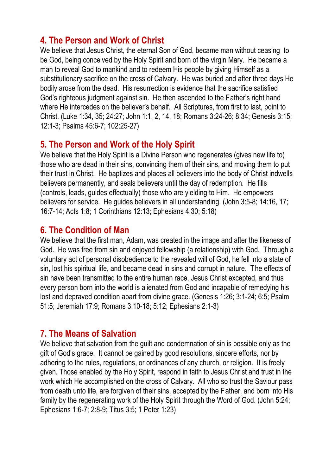#### 4. The Person and Work of Christ

We believe that Jesus Christ, the eternal Son of God, became man without ceasing to be God, being conceived by the Holy Spirit and born of the virgin Mary. He became a man to reveal God to mankind and to redeem His people by giving Himself as a substitutionary sacrifice on the cross of Calvary. He was buried and after three days He bodily arose from the dead. His resurrection is evidence that the sacrifice satisfied God's righteous judgment against sin. He then ascended to the Father's right hand where He intercedes on the believer's behalf. All Scriptures, from first to last, point to Christ. (Luke 1:34, 35: 24:27: John 1:1, 2, 14, 18: Romans 3:24-26: 8:34: Genesis 3:15: 12:1-3: Psalms 45:6-7: 102:25-27)

### 5. The Person and Work of the Holy Spirit

We believe that the Holy Spirit is a Divine Person who regenerates (gives new life to) those who are dead in their sins, convincing them of their sins, and moving them to put their trust in Christ. He baptizes and places all believers into the body of Christ indwells believers permanently, and seals believers until the day of redemption. He fills (controls, leads, quides effectually) those who are vielding to Him. He empowers believers for service. He guides believers in all understanding. (John 3:5-8; 14:16, 17; 16:7-14; Acts 1:8; 1 Corinthians 12:13; Ephesians 4:30; 5:18)

#### 6 The Condition of Man

We believe that the first man, Adam, was created in the image and after the likeness of God. He was free from sin and enjoyed fellowship (a relationship) with God. Through a voluntary act of personal disobedience to the revealed will of God, he fell into a state of sin, lost his spiritual life, and became dead in sins and corrupt in nature. The effects of sin have been transmitted to the entire human race, Jesus Christ excepted, and thus every person born into the world is alienated from God and incapable of remedying his lost and depraved condition apart from divine grace. (Genesis 1:26: 3:1-24: 6:5: Psalm 51:5; Jeremiah 17:9; Romans 3:10-18; 5:12; Ephesians 2:1-3)

## **7. The Means of Salvation**

We believe that salvation from the quilt and condemnation of sin is possible only as the gift of God's grace. It cannot be gained by good resolutions, sincere efforts, nor by adhering to the rules, regulations, or ordinances of any church, or religion. It is freely given. Those enabled by the Holy Spirit, respond in faith to Jesus Christ and trust in the work which He accomplished on the cross of Calvary. All who so trust the Saviour pass from death unto life, are forgiven of their sins, accepted by the Father, and born into His family by the regenerating work of the Holy Spirit through the Word of God. (John 5:24; Ephesians 1:6-7; 2:8-9; Titus 3:5; 1 Peter 1:23)